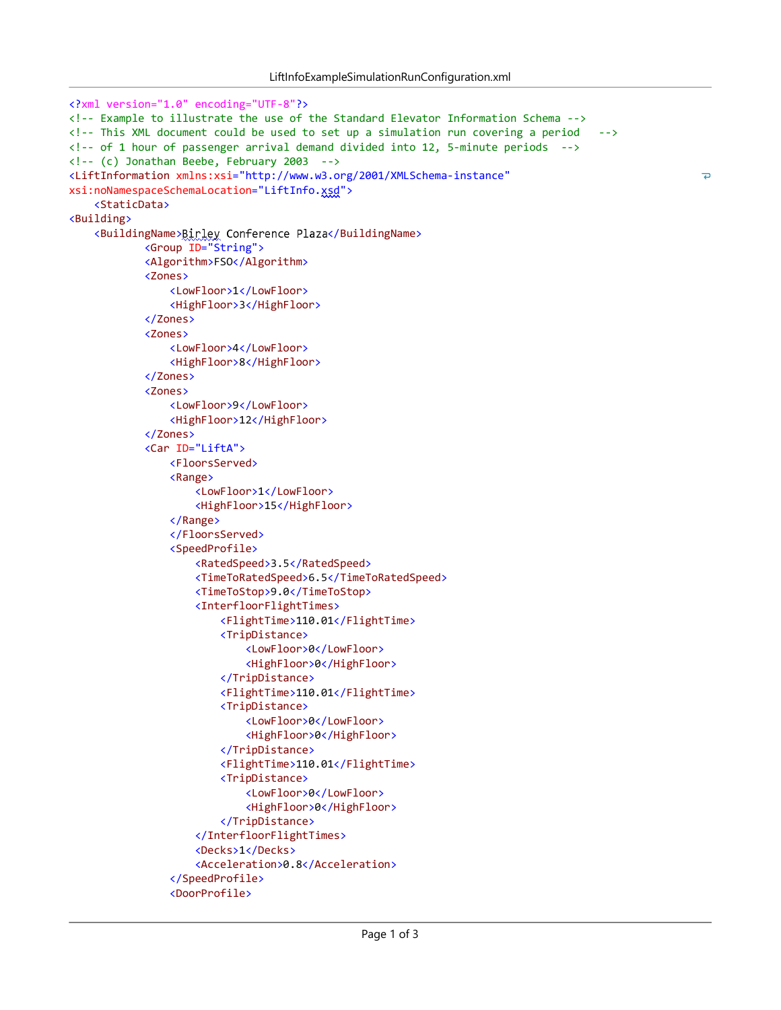$\overline{\phantom{a}}$ 

```
<?xml version="1.0" encoding="UTF-8"?>
<! Example to illustrate the use of the Standard Elevator Information Schema >
<!-- This XML document could be used to set up a simulation run covering a period -->
<!-- of 1 hour of passenger arrival demand divided into 12, 5-minute periods -->
\langle!-- (c) Jonathan Beebe, February 2003 -->
<LiftInformation xmlns:xsi="http://www.w3.org/2001/XMLSchema-instance"
xsi:noNamespaceSchemaLocation="LiftInfo.xsd">
    <StaticData>
<Building>
    <BuildingName>Birley Conference Plaza</BuildingName>
            <Group ID="String">
            <Algorithm>FSO</Algorithm>
            <Zones>
                <LowFloor>1</LowFloor>
                <HighFloor>3</HighFloor>
            </Zones>
            <Zones>
                <LowFloor>4</LowFloor>
                <HighFloor>8</HighFloor>
            </Zones>
            <Zones>
                <LowFloor>9</LowFloor>
                <HighFloor>12</HighFloor>
            </Zones>
            <Car ID="LiftA">
                <FloorsServed>
                <Range>
                    <LowFloor>1</LowFloor>
                    <HighFloor>15</HighFloor>
                </Range>
                </FloorsServed>
                <SpeedProfile>
                    <RatedSpeed>3.5</RatedSpeed>
                    <TimeToRatedSpeed>6.5</TimeToRatedSpeed>
                    <TimeToStop>9.0</TimeToStop>
                    <InterfloorFlightTimes>
                        <FlightTime>110.01</FlightTime>
                        <TripDistance>
                            <LowFloor>0</LowFloor>
                            <HighFloor>0</HighFloor>
                        </TripDistance>
                        <FlightTime>110.01</FlightTime>
                        <TripDistance>
                            <LowFloor>0</LowFloor>
                            <HighFloor>0</HighFloor>
                        </TripDistance>
                        <FlightTime>110.01</FlightTime>
                        <TripDistance>
                            <LowFloor>0</LowFloor>
                            <HighFloor>0</HighFloor>
                        </TripDistance>
                    </InterfloorFlightTimes>
                    <Decks>1</Decks>
                    <Acceleration>0.8</Acceleration>
                </SpeedProfile>
                <DoorProfile>
```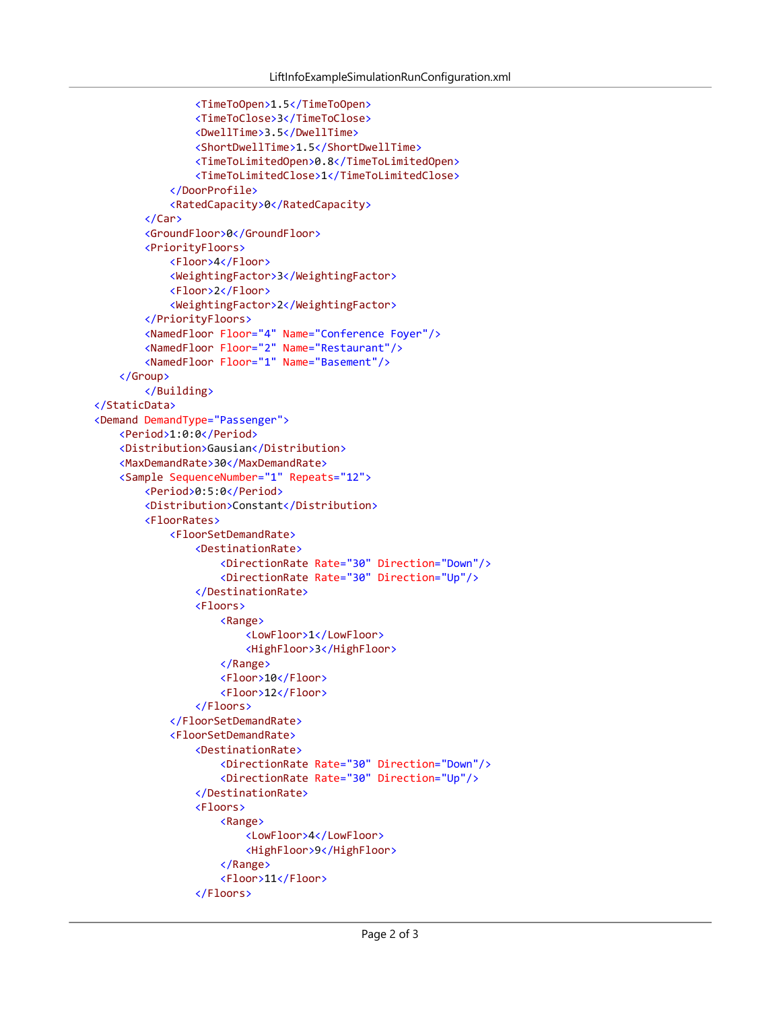```
<TimeToOpen>1.5</TimeToOpen>
                <TimeToClose>3</TimeToClose>
                <DwellTime>3.5</DwellTime>
                <ShortDwellTime>1.5</ShortDwellTime>
                <TimeToLimitedOpen>0.8</TimeToLimitedOpen>
                <TimeToLimitedClose>1</TimeToLimitedClose>
            </DoorProfile>
            <RatedCapacity>0</RatedCapacity>
        </Car>
        <GroundFloor>0</GroundFloor>
        <PriorityFloors>
            <Floor>4</Floor>
            <WeightingFactor>3</WeightingFactor>
            <Floor>2</Floor>
            <WeightingFactor>2</WeightingFactor>
        </PriorityFloors>
        <NamedFloor Floor="4" Name="Conference Foyer"/>
        <NamedFloor Floor="2" Name="Restaurant"/>
        <NamedFloor Floor="1" Name="Basement"/>
    </Group>
        </Building>
</StaticData>
<Demand DemandType="Passenger">
    <Period>1:0:0</Period>
    <Distribution>Gausian</Distribution>
    <MaxDemandRate>30</MaxDemandRate>
    <Sample SequenceNumber="1" Repeats="12">
        <Period>0:5:0</Period>
        <Distribution>Constant</Distribution>
        <FloorRates>
            <FloorSetDemandRate>
                <DestinationRate>
                    <DirectionRate Rate="30" Direction="Down"/>
                    <DirectionRate Rate="30" Direction="Up"/>
                </DestinationRate>
                <Floors>
                    <Range>
                        <LowFloor>1</LowFloor>
                        <HighFloor>3</HighFloor>
                    </Range>
                    <Floor>10</Floor>
                    <Floor>12</Floor>
                </Floors>
            </FloorSetDemandRate>
            <FloorSetDemandRate>
                <DestinationRate>
                    <DirectionRate Rate="30" Direction="Down"/>
                    <DirectionRate Rate="30" Direction="Up"/>
                </DestinationRate>
                <Floors>
                    <Range>
                        <LowFloor>4</LowFloor>
                        <HighFloor>9</HighFloor>
                    </Range>
                    <Floor>11</Floor>
                </Floors>
```